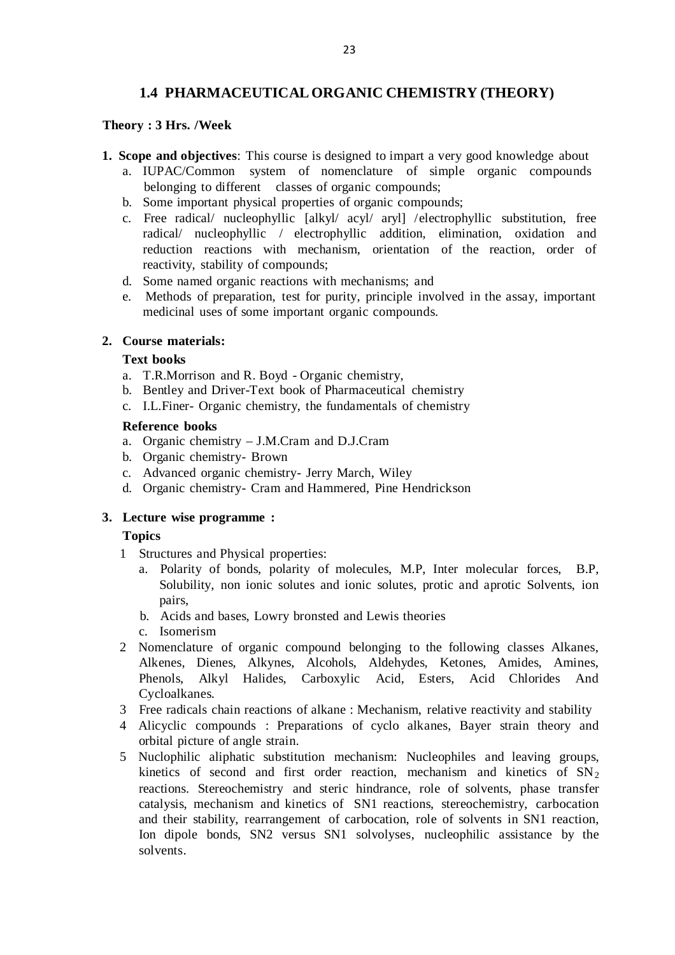# **1.4 PHARMACEUTICAL ORGANIC CHEMISTRY (THEORY)**

#### **Theory : 3 Hrs. /Week**

- **1. Scope and objectives**: This course is designed to impart a very good knowledge about
	- a. IUPAC/Common system of nomenclature of simple organic compounds belonging to different classes of organic compounds;
	- b. Some important physical properties of organic compounds;
	- c. Free radical/ nucleophyllic [alkyl/ acyl/ aryl] / electrophyllic substitution, free radical/ nucleophyllic / electrophyllic addition, elimination, oxidation and reduction reactions with mechanism, orientation of the reaction, order of reactivity, stability of compounds;
	- d. Some named organic reactions with mechanisms; and
	- e. Methods of preparation, test for purity, principle involved in the assay, important medicinal uses of some important organic compounds.

# **2. Course materials:**

#### **Text books**

- a. T.R.Morrison and R. Boyd Organic chemistry,
- b. Bentley and Driver-Text book of Pharmaceutical chemistry
- c. I.L.Finer- Organic chemistry, the fundamentals of chemistry

#### **Reference books**

- a. Organic chemistry J.M.Cram and D.J.Cram
- b. Organic chemistry- Brown
- c. Advanced organic chemistry- Jerry March, Wiley
- d. Organic chemistry- Cram and Hammered, Pine Hendrickson

# **3. Lecture wise programme :**

# **Topics**

- 1 Structures and Physical properties:
	- a. Polarity of bonds, polarity of molecules, M.P, Inter molecular forces, B.P, Solubility, non ionic solutes and ionic solutes, protic and aprotic Solvents, ion pairs,
	- b. Acids and bases, Lowry bronsted and Lewis theories
	- c. Isomerism
- 2 Nomenclature of organic compound belonging to the following classes Alkanes, Alkenes, Dienes, Alkynes, Alcohols, Aldehydes, Ketones, Amides, Amines, Phenols, Alkyl Halides, Carboxylic Acid, Esters, Acid Chlorides And Cycloalkanes.
- 3 Free radicals chain reactions of alkane : Mechanism, relative reactivity and stability
- 4 Alicyclic compounds : Preparations of cyclo alkanes, Bayer strain theory and orbital picture of angle strain.
- 5 Nuclophilic aliphatic substitution mechanism: Nucleophiles and leaving groups, kinetics of second and first order reaction, mechanism and kinetics of  $SN_2$ reactions. Stereochemistry and steric hindrance, role of solvents, phase transfer catalysis, mechanism and kinetics of SN1 reactions, stereochemistry, carbocation and their stability, rearrangement of carbocation, role of solvents in SN1 reaction, Ion dipole bonds, SN2 versus SN1 solvolyses, nucleophilic assistance by the solvents.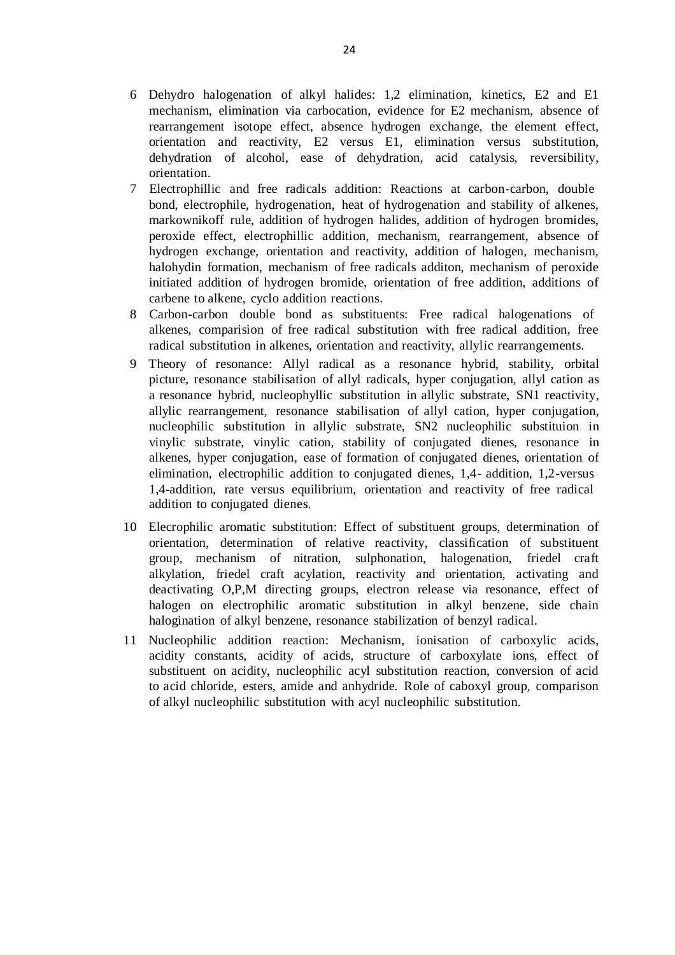- 6 Dehydro halogenation of alkyl halides: 1,2 elimination, kinetics, E2 and E1 mechanism, elimination via carbocation, evidence for E2 mechanism, absence of rearrangement isotope effect, absence hydrogen exchange, the element effect, orientation and reactivity, E2 versus E1, elimination versus substitution, dehydration of alcohol, ease of dehydration, acid catalysis, reversibility, orientation.
- 7 Electrophillic and free radicals addition: Reactions at carbon -carbon, double bond, electrophile, hydrogenation, heat of hydrogenation and stability of alkenes, markownikoff rule, addition of hydrogen halides, addition of hydrogen bromides, peroxide effect, electrophillic addition, mechanism, rearrangement, absence of hydrogen exchange, orientation and reactivity, addition of halogen, mechanism, halohydin formation, mechanism of free radicals additon, mechanism of peroxide initiated addition of hydrogen bromide, orientation of free addition, additions of carbene to alkene, cyclo addition reactions.
- 8 Carbon-carbon double bond as substituents: Free radical halogenations of alkenes, comparision of free radical substitution with free radical addition, free radical substitution in alkenes, orientation and reactivity, allylic rearrangements.
- 9 Theory of resonance: Allyl radical as a resonance hybrid, stability, orbital picture, resonance stabilisation of allyl radicals, hyper conjugation, allyl cation as a resonance hybrid, nucleophyllic substitution in allylic substrate, SN1 reactivity, allylic rearrangement, resonance stabilisation of allyl cation, hyper conjugation, nucleophilic substitution in allylic substrate, SN2 nucleophilic substituion in vinylic substrate, vinylic cation, stability of conjugated dienes, resonance in alkenes, hyper conjugation, ease of formation of conjugated dienes, orientation of elimination, electrophilic addition to conjugated dienes, 1,4 - addition, 1,2-versus 1,4-addition, rate versus equilibrium, orientation and reactivity of free radical addition to conjugated dienes.
- 10 Elecrophilic aromatic substitution: Effect of substituent groups, determination of orientation, determination of relative reactivity, classification of substituent group, mechanism of nitration, sulphonation, halogenation, friedel craft alkylation, friedel craft acylation, reactivity and orientation, activating and deactivating O,P,M directing groups, electron release via resonance, effect of halogen on electrophilic aromatic substitution in alkyl benzene, side chain halogination of alkyl benzene, resonance stabilization of benzyl radical.
- 11 Nucleophilic addition reaction: Mechanism, ionisation of carboxylic acids, acidity constants, acidity of acids, structure of carboxylate ions, effect of substituent on acidity, nucleophilic acyl substitution reaction, conversion of acid to acid chloride, esters, amide and anhydride. Role of caboxyl group, comparison of alkyl nucleophilic substitution with acyl nucleophilic substitution.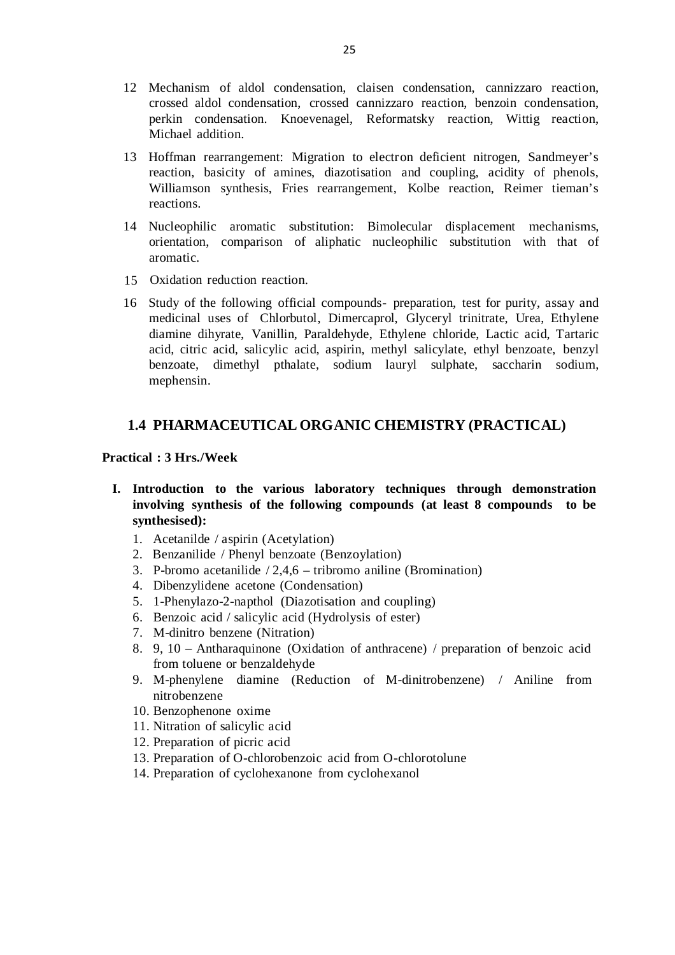- 12 Mechanism of aldol condensation, claisen condensation, cannizzaro reaction, crossed aldol condensation, crossed cannizzaro reaction, benzoin condensation, perkin condensation. Knoevenagel, Reformatsky reaction, Wittig reaction, Michael addition.
- 13 Hoffman rearrangement: Migration to electron deficient nitrogen, Sandmeyer's reaction, basicity of amines, diazotisation and coupling, acidity of phenols, Williamson synthesis, Fries rearrangement, Kolbe reaction, Reimer tieman's reactions.
- 14 Nucleophilic aromatic substitution: Bimolecular displacement mechanisms, orientation, comparison of aliphatic nucleophilic substitution with that of aromatic.
- 15 Oxidation reduction reaction.
- 16 Study of the following official compounds- preparation, test for purity, assay and medicinal uses of Chlorbutol, Dimercaprol, Glyceryl trinitrate, Urea, Ethylene diamine dihyrate, Vanillin, Paraldehyde, Ethylene chloride, Lactic acid, Tartaric acid, citric acid, salicylic acid, aspirin, methyl salicylate, ethyl benzoate, benzyl benzoate, dimethyl pthalate, sodium lauryl sulphate, saccharin sodium, mephensin.

# **1.4 PHARMACEUTICAL ORGANIC CHEMISTRY (PRACTICAL)**

#### **Practical : 3 Hrs./Week**

- **I. Introduction to the various laboratory techniques through demonstration involving synthesis of the following compounds (at least 8 compounds to be synthesised):**
	- 1. Acetanilde / aspirin (Acetylation)
	- 2. Benzanilide / Phenyl benzoate (Benzoylation)
	- 3. P-bromo acetanilide  $/2,4,6$  tribromo aniline (Bromination)
	- 4. Dibenzylidene acetone (Condensation)
	- 5. 1-Phenylazo-2-napthol (Diazotisation and coupling)
	- 6. Benzoic acid / salicylic acid (Hydrolysis of ester)
	- 7. M-dinitro benzene (Nitration)
	- 8. 9, 10 Antharaquinone (Oxidation of anthracene) / preparation of benzoic acid from toluene or benzaldehyde
	- 9. M-phenylene diamine (Reduction of M-dinitrobenzene) / Aniline from nitrobenzene
	- 10. Benzophenone oxime
	- 11. Nitration of salicylic acid
	- 12. Preparation of picric acid
	- 13. Preparation of O-chlorobenzoic acid from O-chlorotolune
	- 14. Preparation of cyclohexanone from cyclohexanol